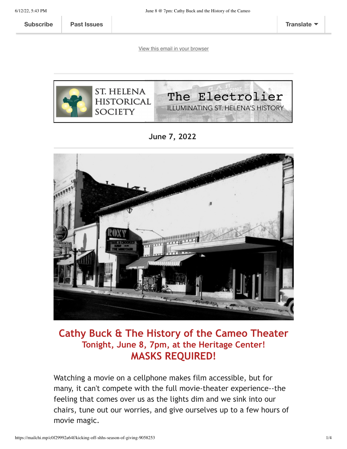**[Subscribe](http://eepurl.com/hOIaI9) Past [Issues](https://us5.campaign-archive.com/home/?u=b47d3a84b3d25889c7c0151f6&id=f91e786b03) [Translate](javascript:;)**

[View this email in your browser](https://mailchi.mp/c0f29992a64f/kicking-off-shhs-season-of-giving-9058253?e=[UNIQID])



**June 7, 2022** 



## **Cathy Buck & The History of the Cameo Theater Tonight, June 8, 7pm, at the Heritage Center! MASKS REQUIRED!**

Watching a movie on a cellphone makes film accessible, but for many, it can't compete with the full movie-theater experience--the feeling that comes over us as the lights dim and we sink into our chairs, tune out our worries, and give ourselves up to a few hours of movie magic.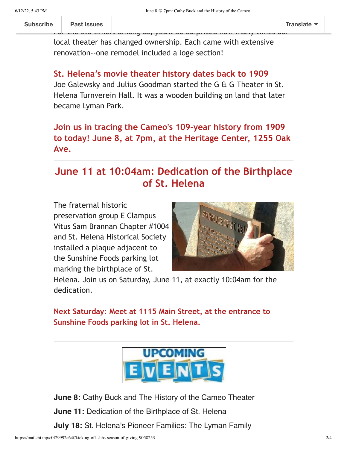local theater has changed ownership. Each came with extensive renovation--one remodel included a loge section!

F[or the old timer](https://us5.campaign-archive.com/home/?u=b47d3a84b3d25889c7c0151f6&id=f91e786b03)s among us, you'll be surprised how many times our

#### **St. Helena's movie theater history dates back to 1909**

Joe Galewsky and Julius Goodman started the G & G Theater in St. Helena Turnverein Hall. It was a wooden building on land that later became Lyman Park.

#### **Join us in tracing the Cameo's 109-year history from 1909 to today! June 8, at 7pm, at the Heritage Center, 1255 Oak Ave.**

## **June 11 at 10:04am: Dedication of the Birthplace of St. Helena**

The fraternal historic preservation group E Clampus Vitus Sam Brannan Chapter #1004 and St. Helena Historical Society installed a plaque adjacent to the Sunshine Foods parking lot marking the birthplace of St.



Helena. Join us on Saturday, June 11, at exactly 10:04am for the dedication.

**Next Saturday: Meet at 1115 Main Street, at the entrance to Sunshine Foods parking lot in St. Helena.**



**June 8:** Cathy Buck and The History of the Cameo Theater **June 11:** Dedication of the Birthplace of St. Helena **July 18:** St. Helena's Pioneer Families: The Lyman Family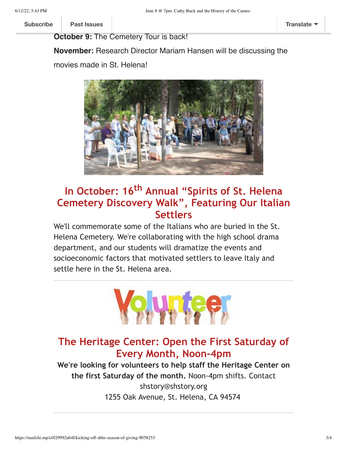**Subscribe Past Issues [Subscribe](http://eepurl.com/hOIaI9) Past Issues [Translate](javascript:;)**

**October 9:** The Cemetery Tour is back!

**November:** Research Director Mariam Hansen will be discussing the movies made in St. Helena!



# **In October: 16th Annual "Spirits of St. Helena Cemetery Discovery Walk", Featuring Our Italian Settlers**

We'll commemorate some of the Italians who are buried in the St. Helena Cemetery. We're collaborating with the high school drama department, and our students will dramatize the events and socioeconomic factors that motivated settlers to leave Italy and settle here in the St. Helena area.



#### **The Heritage Center: Open the First Saturday of Every Month, Noon-4pm**

**We're looking for volunteers to help staff the Heritage Center on the first Saturday of the month.** Noon-4pm shifts. Contact shstory@shstory.org 1255 Oak Avenue, St. Helena, CA 94574